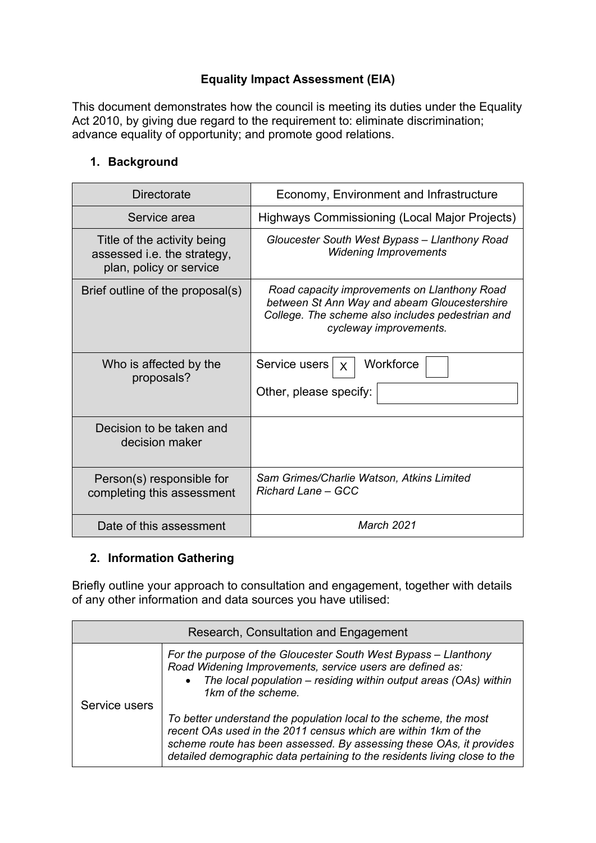# **Equality Impact Assessment (EIA)**

This document demonstrates how the council is meeting its duties under the Equality Act 2010, by giving due regard to the requirement to: eliminate discrimination; advance equality of opportunity; and promote good relations.

### **1. Background**

| <b>Directorate</b>                                                                    | Economy, Environment and Infrastructure                                                                                                                                    |  |
|---------------------------------------------------------------------------------------|----------------------------------------------------------------------------------------------------------------------------------------------------------------------------|--|
| Service area                                                                          | Highways Commissioning (Local Major Projects)                                                                                                                              |  |
| Title of the activity being<br>assessed i.e. the strategy,<br>plan, policy or service | Gloucester South West Bypass - Llanthony Road<br><b>Widening Improvements</b>                                                                                              |  |
| Brief outline of the proposal(s)                                                      | Road capacity improvements on Llanthony Road<br>between St Ann Way and abeam Gloucestershire<br>College. The scheme also includes pedestrian and<br>cycleway improvements. |  |
| Who is affected by the<br>proposals?                                                  | Workforce<br>Service users<br>$\mathsf{X}$<br>Other, please specify:                                                                                                       |  |
| Decision to be taken and<br>decision maker                                            |                                                                                                                                                                            |  |
| Person(s) responsible for<br>completing this assessment                               | Sam Grimes/Charlie Watson, Atkins Limited<br>Richard Lane – GCC                                                                                                            |  |
| Date of this assessment                                                               | <b>March 2021</b>                                                                                                                                                          |  |

## **2. Information Gathering**

Briefly outline your approach to consultation and engagement, together with details of any other information and data sources you have utilised:

| Research, Consultation and Engagement |                                                                                                                                                                                                                                                                                         |  |  |
|---------------------------------------|-----------------------------------------------------------------------------------------------------------------------------------------------------------------------------------------------------------------------------------------------------------------------------------------|--|--|
| Service users                         | For the purpose of the Gloucester South West Bypass - Llanthony<br>Road Widening Improvements, service users are defined as:<br>• The local population – residing within output areas (OAs) within<br>1km of the scheme.                                                                |  |  |
|                                       | To better understand the population local to the scheme, the most<br>recent OAs used in the 2011 census which are within 1km of the<br>scheme route has been assessed. By assessing these OAs, it provides<br>detailed demographic data pertaining to the residents living close to the |  |  |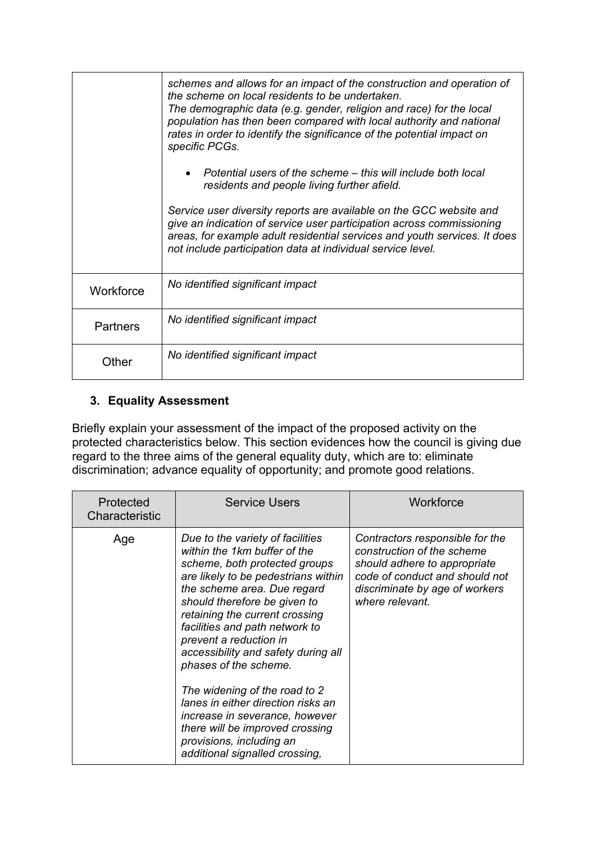|                 | schemes and allows for an impact of the construction and operation of<br>the scheme on local residents to be undertaken.<br>The demographic data (e.g. gender, religion and race) for the local<br>population has then been compared with local authority and national<br>rates in order to identify the significance of the potential impact on<br>specific PCGs. |
|-----------------|--------------------------------------------------------------------------------------------------------------------------------------------------------------------------------------------------------------------------------------------------------------------------------------------------------------------------------------------------------------------|
|                 | $\bullet$ Potential users of the scheme – this will include both local<br>residents and people living further afield.                                                                                                                                                                                                                                              |
|                 | Service user diversity reports are available on the GCC website and<br>give an indication of service user participation across commissioning<br>areas, for example adult residential services and youth services. It does<br>not include participation data at individual service level.                                                                           |
| Workforce       | No identified significant impact                                                                                                                                                                                                                                                                                                                                   |
| <b>Partners</b> | No identified significant impact                                                                                                                                                                                                                                                                                                                                   |
| Other           | No identified significant impact                                                                                                                                                                                                                                                                                                                                   |

## **3. Equality Assessment**

Briefly explain your assessment of the impact of the proposed activity on the protected characteristics below. This section evidences how the council is giving due regard to the three aims of the general equality duty, which are to: eliminate discrimination; advance equality of opportunity; and promote good relations.

| Protected<br>Characteristic | <b>Service Users</b>                                                                                                                                                                                                                                                                                                                                                                                                                                                                                                                                                            | Workforce                                                                                                                                                                            |
|-----------------------------|---------------------------------------------------------------------------------------------------------------------------------------------------------------------------------------------------------------------------------------------------------------------------------------------------------------------------------------------------------------------------------------------------------------------------------------------------------------------------------------------------------------------------------------------------------------------------------|--------------------------------------------------------------------------------------------------------------------------------------------------------------------------------------|
| Age                         | Due to the variety of facilities<br>within the 1km buffer of the<br>scheme, both protected groups<br>are likely to be pedestrians within<br>the scheme area. Due regard<br>should therefore be given to<br>retaining the current crossing<br>facilities and path network to<br>prevent a reduction in<br>accessibility and safety during all<br>phases of the scheme.<br>The widening of the road to 2<br>lanes in either direction risks an<br>increase in severance, however<br>there will be improved crossing<br>provisions, including an<br>additional signalled crossing, | Contractors responsible for the<br>construction of the scheme<br>should adhere to appropriate<br>code of conduct and should not<br>discriminate by age of workers<br>where relevant. |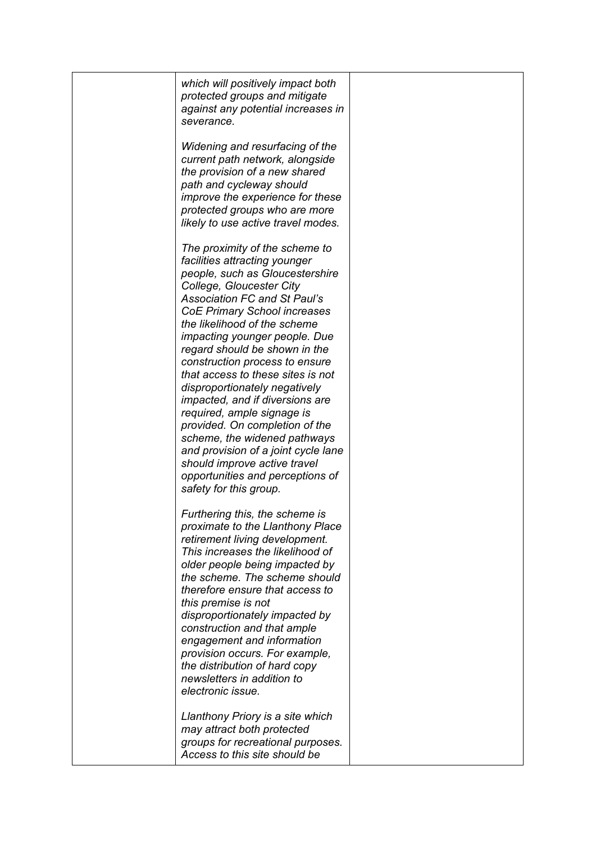| which will positively impact both                               |
|-----------------------------------------------------------------|
| protected groups and mitigate                                   |
| against any potential increases in                              |
| severance.                                                      |
| Widening and resurfacing of the                                 |
| current path network, alongside                                 |
| the provision of a new shared                                   |
| path and cycleway should                                        |
| improve the experience for these                                |
| protected groups who are more                                   |
| likely to use active travel modes.                              |
|                                                                 |
| The proximity of the scheme to                                  |
| facilities attracting younger                                   |
| people, such as Gloucestershire                                 |
| College, Gloucester City<br><b>Association FC and St Paul's</b> |
| <b>CoE Primary School increases</b>                             |
| the likelihood of the scheme                                    |
| <i>impacting younger people. Due</i>                            |
| regard should be shown in the                                   |
| construction process to ensure                                  |
| that access to these sites is not                               |
| disproportionately negatively                                   |
| <i>impacted, and if diversions are</i>                          |
| required, ample signage is                                      |
| provided. On completion of the                                  |
| scheme, the widened pathways                                    |
| and provision of a joint cycle lane                             |
| should improve active travel                                    |
| opportunities and perceptions of                                |
| safety for this group.                                          |
| Furthering this, the scheme is                                  |
| proximate to the Llanthony Place                                |
| retirement living development.                                  |
| This increases the likelihood of                                |
| older people being impacted by                                  |
| the scheme. The scheme should                                   |
| therefore ensure that access to                                 |
| this premise is not                                             |
| disproportionately impacted by                                  |
| construction and that ample                                     |
| engagement and information                                      |
| provision occurs. For example,                                  |
| the distribution of hard copy<br>newsletters in addition to     |
| electronic issue.                                               |
|                                                                 |
| Llanthony Priory is a site which                                |
| may attract both protected                                      |
| groups for recreational purposes.                               |
| Access to this site should be                                   |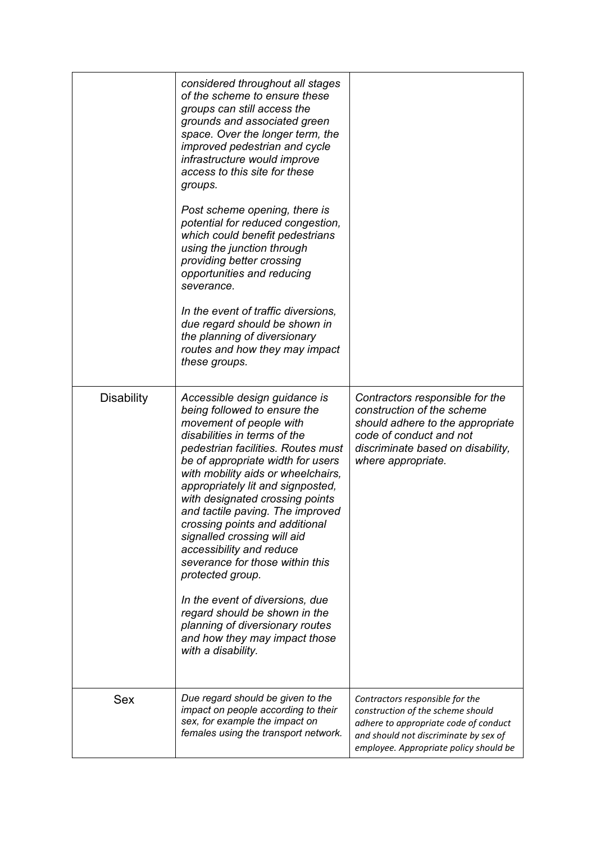|                   | considered throughout all stages<br>of the scheme to ensure these<br>groups can still access the<br>grounds and associated green<br>space. Over the longer term, the<br>improved pedestrian and cycle<br>infrastructure would improve<br>access to this site for these<br>groups.<br>Post scheme opening, there is<br>potential for reduced congestion,<br>which could benefit pedestrians<br>using the junction through<br>providing better crossing<br>opportunities and reducing<br>severance.<br>In the event of traffic diversions,<br>due regard should be shown in<br>the planning of diversionary<br>routes and how they may impact<br>these groups.            |                                                                                                                                                                                                  |
|-------------------|-------------------------------------------------------------------------------------------------------------------------------------------------------------------------------------------------------------------------------------------------------------------------------------------------------------------------------------------------------------------------------------------------------------------------------------------------------------------------------------------------------------------------------------------------------------------------------------------------------------------------------------------------------------------------|--------------------------------------------------------------------------------------------------------------------------------------------------------------------------------------------------|
| <b>Disability</b> | Accessible design guidance is<br>being followed to ensure the<br>movement of people with<br>disabilities in terms of the<br>pedestrian facilities. Routes must<br>be of appropriate width for users<br>with mobility aids or wheelchairs,<br>appropriately lit and signposted,<br>with designated crossing points<br>and tactile paving. The improved<br>crossing points and additional<br>signalled crossing will aid<br>accessibility and reduce<br>severance for those within this<br>protected group.<br>In the event of diversions, due<br>regard should be shown in the<br>planning of diversionary routes<br>and how they may impact those<br>with a disability. | Contractors responsible for the<br>construction of the scheme<br>should adhere to the appropriate<br>code of conduct and not<br>discriminate based on disability,<br>where appropriate.          |
| <b>Sex</b>        | Due regard should be given to the<br>impact on people according to their<br>sex, for example the impact on<br>females using the transport network.                                                                                                                                                                                                                                                                                                                                                                                                                                                                                                                      | Contractors responsible for the<br>construction of the scheme should<br>adhere to appropriate code of conduct<br>and should not discriminate by sex of<br>employee. Appropriate policy should be |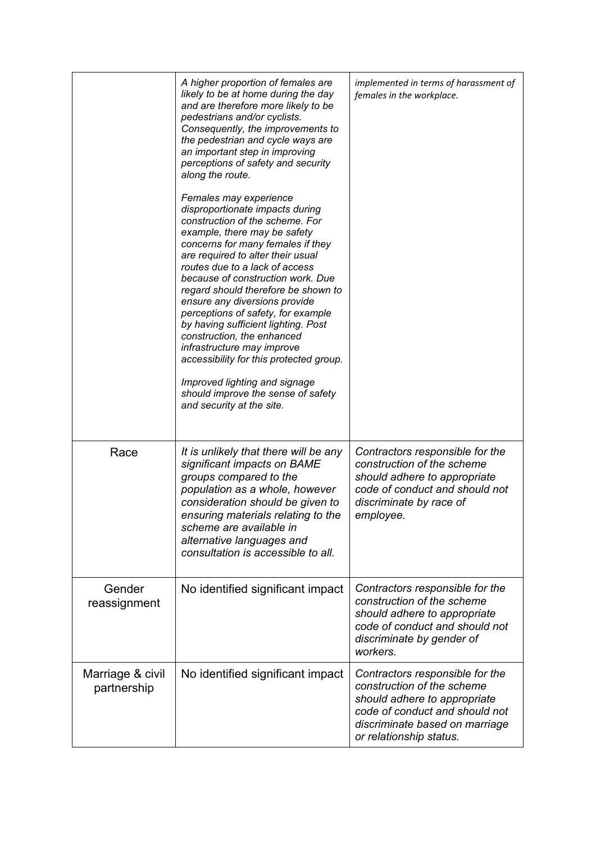|                                 | A higher proportion of females are<br>likely to be at home during the day<br>and are therefore more likely to be<br>pedestrians and/or cyclists.<br>Consequently, the improvements to<br>the pedestrian and cycle ways are<br>an important step in improving<br>perceptions of safety and security<br>along the route.<br>Females may experience<br>disproportionate impacts during<br>construction of the scheme. For<br>example, there may be safety<br>concerns for many females if they<br>are required to alter their usual<br>routes due to a lack of access<br>because of construction work. Due<br>regard should therefore be shown to<br>ensure any diversions provide<br>perceptions of safety, for example<br>by having sufficient lighting. Post<br>construction, the enhanced<br>infrastructure may improve<br>accessibility for this protected group.<br>Improved lighting and signage<br>should improve the sense of safety<br>and security at the site. | implemented in terms of harassment of<br>females in the workplace.                                                                                                                           |
|---------------------------------|-------------------------------------------------------------------------------------------------------------------------------------------------------------------------------------------------------------------------------------------------------------------------------------------------------------------------------------------------------------------------------------------------------------------------------------------------------------------------------------------------------------------------------------------------------------------------------------------------------------------------------------------------------------------------------------------------------------------------------------------------------------------------------------------------------------------------------------------------------------------------------------------------------------------------------------------------------------------------|----------------------------------------------------------------------------------------------------------------------------------------------------------------------------------------------|
| Race                            | It is unlikely that there will be any<br>significant impacts on BAME<br>groups compared to the<br>population as a whole, however<br>consideration should be given to<br>ensuring materials relating to the<br>scheme are available in<br>alternative languages and<br>consultation is accessible to all.                                                                                                                                                                                                                                                                                                                                                                                                                                                                                                                                                                                                                                                                | Contractors responsible for the<br>construction of the scheme<br>should adhere to appropriate<br>code of conduct and should not<br>discriminate by race of<br>employee.                      |
| Gender<br>reassignment          | No identified significant impact                                                                                                                                                                                                                                                                                                                                                                                                                                                                                                                                                                                                                                                                                                                                                                                                                                                                                                                                        | Contractors responsible for the<br>construction of the scheme<br>should adhere to appropriate<br>code of conduct and should not<br>discriminate by gender of<br>workers.                     |
| Marriage & civil<br>partnership | No identified significant impact                                                                                                                                                                                                                                                                                                                                                                                                                                                                                                                                                                                                                                                                                                                                                                                                                                                                                                                                        | Contractors responsible for the<br>construction of the scheme<br>should adhere to appropriate<br>code of conduct and should not<br>discriminate based on marriage<br>or relationship status. |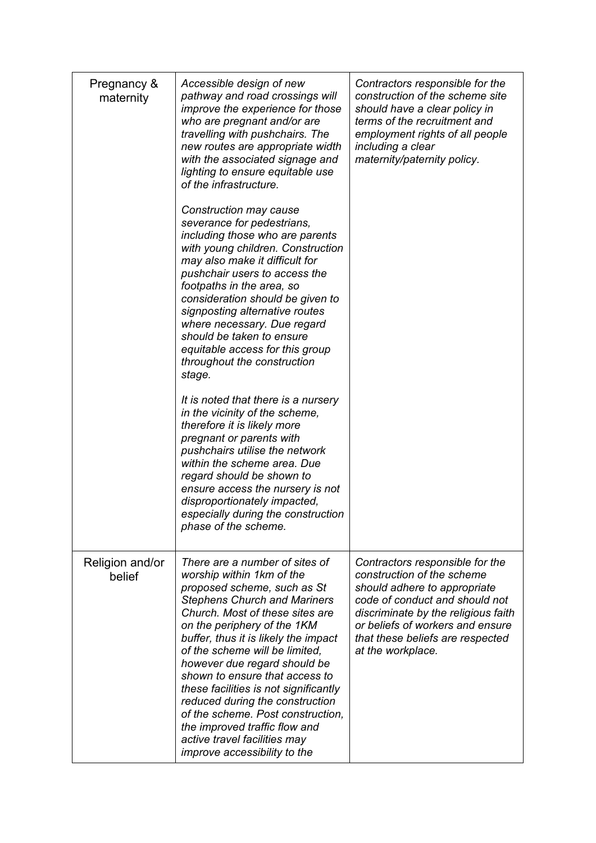| Pregnancy &<br>maternity  | Accessible design of new<br>pathway and road crossings will<br>improve the experience for those<br>who are pregnant and/or are<br>travelling with pushchairs. The<br>new routes are appropriate width<br>with the associated signage and<br>lighting to ensure equitable use<br>of the infrastructure.<br>Construction may cause<br>severance for pedestrians,<br>including those who are parents<br>with young children. Construction<br>may also make it difficult for<br>pushchair users to access the<br>footpaths in the area, so<br>consideration should be given to<br>signposting alternative routes<br>where necessary. Due regard<br>should be taken to ensure<br>equitable access for this group<br>throughout the construction<br>stage.<br>It is noted that there is a nursery<br>in the vicinity of the scheme,<br>therefore it is likely more<br>pregnant or parents with<br>pushchairs utilise the network<br>within the scheme area. Due<br>regard should be shown to<br>ensure access the nursery is not<br>disproportionately impacted,<br>especially during the construction<br>phase of the scheme. | Contractors responsible for the<br>construction of the scheme site<br>should have a clear policy in<br>terms of the recruitment and<br>employment rights of all people<br>including a clear<br>maternity/paternity policy.                                          |
|---------------------------|--------------------------------------------------------------------------------------------------------------------------------------------------------------------------------------------------------------------------------------------------------------------------------------------------------------------------------------------------------------------------------------------------------------------------------------------------------------------------------------------------------------------------------------------------------------------------------------------------------------------------------------------------------------------------------------------------------------------------------------------------------------------------------------------------------------------------------------------------------------------------------------------------------------------------------------------------------------------------------------------------------------------------------------------------------------------------------------------------------------------------|---------------------------------------------------------------------------------------------------------------------------------------------------------------------------------------------------------------------------------------------------------------------|
| Religion and/or<br>belief | There are a number of sites of<br>worship within 1km of the<br>proposed scheme, such as St<br><b>Stephens Church and Mariners</b><br>Church. Most of these sites are<br>on the periphery of the 1KM<br>buffer, thus it is likely the impact<br>of the scheme will be limited,<br>however due regard should be<br>shown to ensure that access to<br>these facilities is not significantly<br>reduced during the construction<br>of the scheme. Post construction,<br>the improved traffic flow and<br>active travel facilities may<br>improve accessibility to the                                                                                                                                                                                                                                                                                                                                                                                                                                                                                                                                                        | Contractors responsible for the<br>construction of the scheme<br>should adhere to appropriate<br>code of conduct and should not<br>discriminate by the religious faith<br>or beliefs of workers and ensure<br>that these beliefs are respected<br>at the workplace. |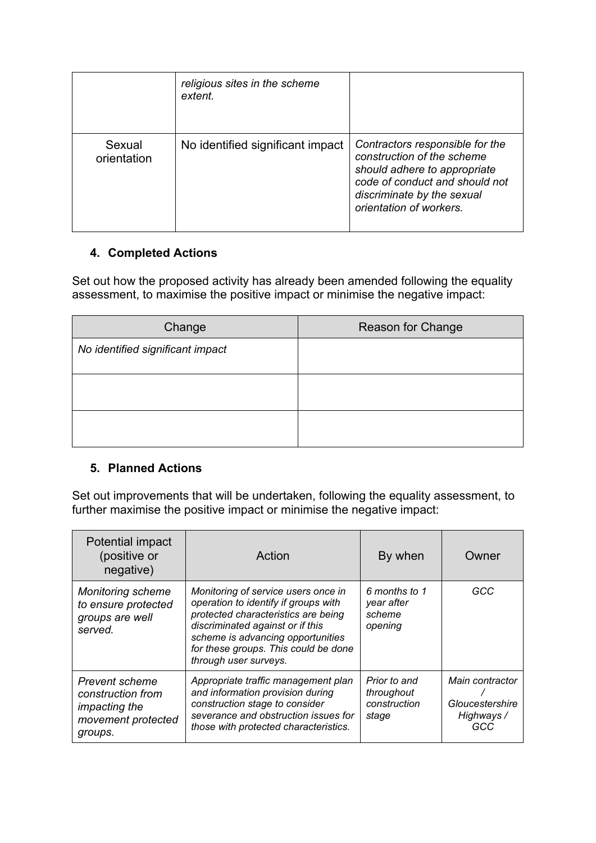|                       | religious sites in the scheme<br>extent. |                                                                                                                                                                                          |
|-----------------------|------------------------------------------|------------------------------------------------------------------------------------------------------------------------------------------------------------------------------------------|
| Sexual<br>orientation | No identified significant impact         | Contractors responsible for the<br>construction of the scheme<br>should adhere to appropriate<br>code of conduct and should not<br>discriminate by the sexual<br>orientation of workers. |

## **4. Completed Actions**

Set out how the proposed activity has already been amended following the equality assessment, to maximise the positive impact or minimise the negative impact:

| Change                           | Reason for Change |
|----------------------------------|-------------------|
| No identified significant impact |                   |
|                                  |                   |
|                                  |                   |

## **5. Planned Actions**

Set out improvements that will be undertaken, following the equality assessment, to further maximise the positive impact or minimise the negative impact:

| Potential impact<br>(positive or<br>negative)                                                       | Action                                                                                                                                                                                                                                                       | By when                                             | Owner                                                   |
|-----------------------------------------------------------------------------------------------------|--------------------------------------------------------------------------------------------------------------------------------------------------------------------------------------------------------------------------------------------------------------|-----------------------------------------------------|---------------------------------------------------------|
| <b>Monitoring scheme</b><br>to ensure protected<br>groups are well<br>served.                       | Monitoring of service users once in<br>operation to identify if groups with<br>protected characteristics are being<br>discriminated against or if this<br>scheme is advancing opportunities<br>for these groups. This could be done<br>through user surveys. | 6 months to 1<br>year after<br>scheme<br>opening    | GCC                                                     |
| <b>Prevent scheme</b><br>construction from<br><i>impacting the</i><br>movement protected<br>groups. | Appropriate traffic management plan<br>and information provision during<br>construction stage to consider<br>severance and obstruction issues for<br>those with protected characteristics.                                                                   | Prior to and<br>throughout<br>construction<br>stage | Main contractor<br>Gloucestershire<br>Highways /<br>GCC |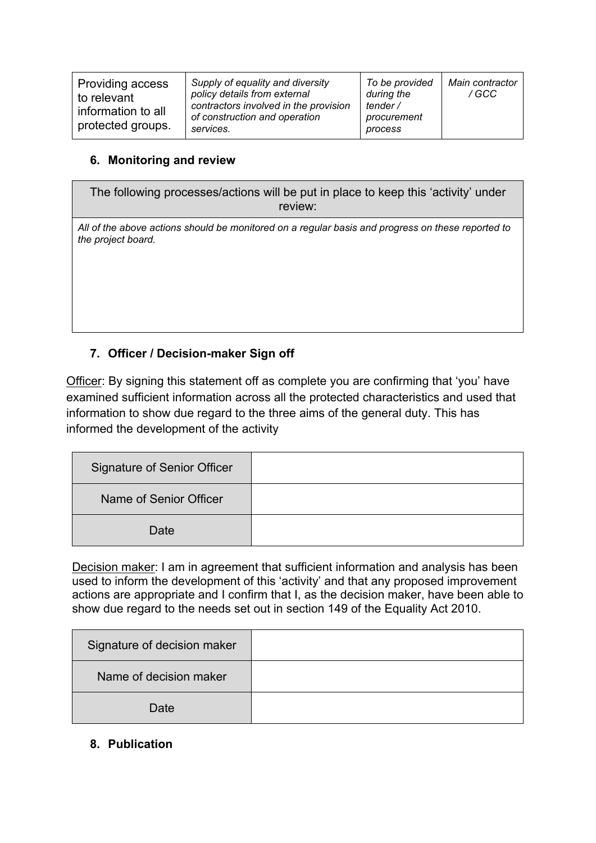#### **6. Monitoring and review**

The following processes/actions will be put in place to keep this 'activity' under review:

*All of the above actions should be monitored on a regular basis and progress on these reported to the project board.*

## **7. Officer / Decision-maker Sign off**

Officer: By signing this statement off as complete you are confirming that 'you' have examined sufficient information across all the protected characteristics and used that information to show due regard to the three aims of the general duty. This has informed the development of the activity

| <b>Signature of Senior Officer</b> |  |
|------------------------------------|--|
| Name of Senior Officer             |  |
| Date                               |  |

Decision maker: I am in agreement that sufficient information and analysis has been used to inform the development of this 'activity' and that any proposed improvement actions are appropriate and I confirm that I, as the decision maker, have been able to show due regard to the needs set out in section 149 of the Equality Act 2010.

| Signature of decision maker |  |
|-----------------------------|--|
| Name of decision maker      |  |
| Date                        |  |

## **8. Publication**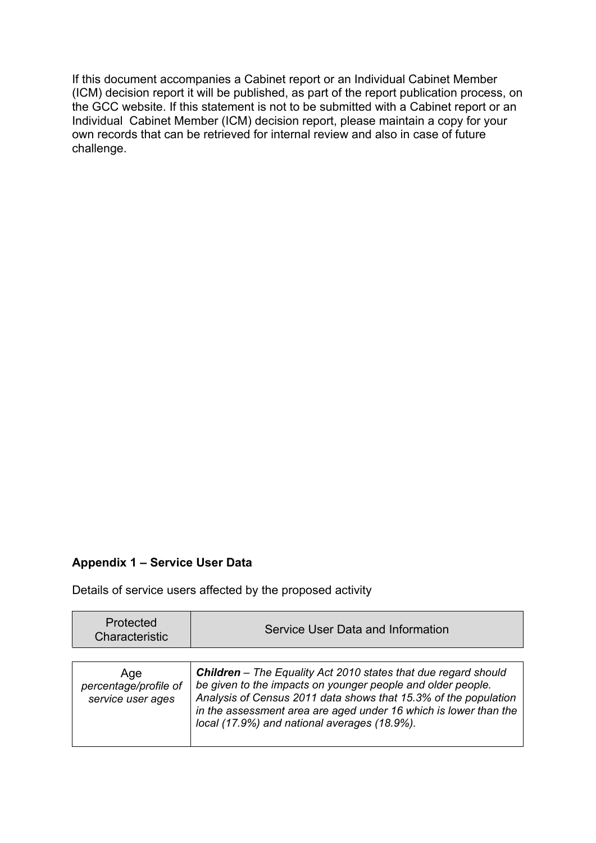If this document accompanies a Cabinet report or an Individual Cabinet Member (ICM) decision report it will be published, as part of the report publication process, on the GCC website. If this statement is not to be submitted with a Cabinet report or an Individual Cabinet Member (ICM) decision report, please maintain a copy for your own records that can be retrieved for internal review and also in case of future challenge.

#### **Appendix 1 – Service User Data**

Details of service users affected by the proposed activity

| Protected<br>Characteristic                       | Service User Data and Information                                                                                                                                                                                                                                                                                    |
|---------------------------------------------------|----------------------------------------------------------------------------------------------------------------------------------------------------------------------------------------------------------------------------------------------------------------------------------------------------------------------|
|                                                   |                                                                                                                                                                                                                                                                                                                      |
| Age<br>percentage/profile of<br>service user ages | Children - The Equality Act 2010 states that due regard should<br>be given to the impacts on younger people and older people.<br>Analysis of Census 2011 data shows that 15.3% of the population<br>in the assessment area are aged under 16 which is lower than the<br>local (17.9%) and national averages (18.9%). |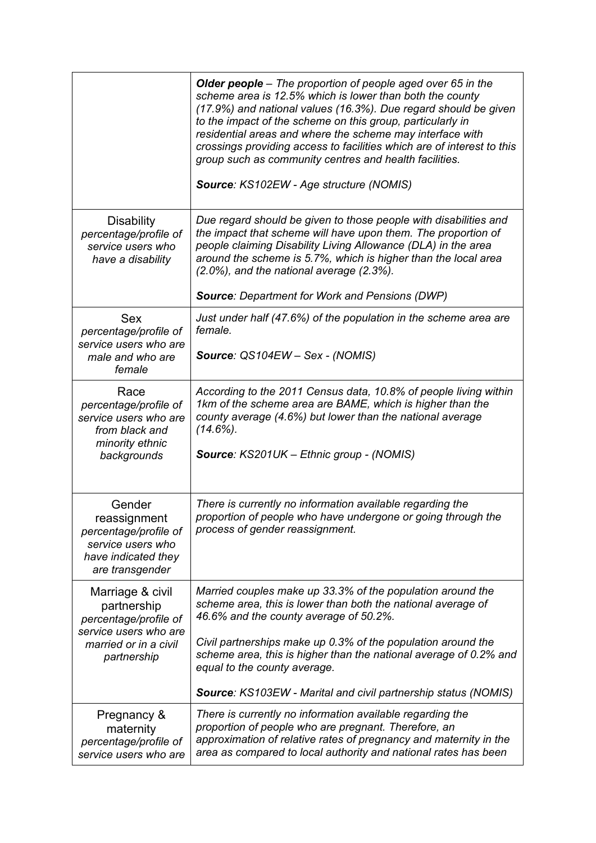|                                                                                                                           | <b>Older people</b> – The proportion of people aged over 65 in the<br>scheme area is 12.5% which is lower than both the county<br>(17.9%) and national values (16.3%). Due regard should be given<br>to the impact of the scheme on this group, particularly in<br>residential areas and where the scheme may interface with<br>crossings providing access to facilities which are of interest to this<br>group such as community centres and health facilities.<br>Source: KS102EW - Age structure (NOMIS) |
|---------------------------------------------------------------------------------------------------------------------------|-------------------------------------------------------------------------------------------------------------------------------------------------------------------------------------------------------------------------------------------------------------------------------------------------------------------------------------------------------------------------------------------------------------------------------------------------------------------------------------------------------------|
| <b>Disability</b><br>percentage/profile of<br>service users who<br>have a disability                                      | Due regard should be given to those people with disabilities and<br>the impact that scheme will have upon them. The proportion of<br>people claiming Disability Living Allowance (DLA) in the area<br>around the scheme is 5.7%, which is higher than the local area<br>$(2.0\%)$ , and the national average $(2.3\%)$ .<br><b>Source: Department for Work and Pensions (DWP)</b>                                                                                                                           |
| <b>Sex</b><br>percentage/profile of<br>service users who are<br>male and who are<br>female                                | Just under half (47.6%) of the population in the scheme area are<br>female.<br>Source: QS104EW - Sex - (NOMIS)                                                                                                                                                                                                                                                                                                                                                                                              |
| Race<br>percentage/profile of<br>service users who are<br>from black and<br>minority ethnic<br>backgrounds                | According to the 2011 Census data, 10.8% of people living within<br>1km of the scheme area are BAME, which is higher than the<br>county average (4.6%) but lower than the national average<br>$(14.6\%)$ .<br>Source: KS201UK - Ethnic group - (NOMIS)                                                                                                                                                                                                                                                      |
| Gender<br>reassignment<br>percentage/profile of<br>service users who<br>have indicated they<br>are transgender            | There is currently no information available regarding the<br>proportion of people who have undergone or going through the<br>process of gender reassignment.                                                                                                                                                                                                                                                                                                                                                |
| Marriage & civil<br>partnership<br>percentage/profile of<br>service users who are<br>married or in a civil<br>partnership | Married couples make up 33.3% of the population around the<br>scheme area, this is lower than both the national average of<br>46.6% and the county average of 50.2%.<br>Civil partnerships make up 0.3% of the population around the<br>scheme area, this is higher than the national average of 0.2% and<br>equal to the county average.<br><b>Source: KS103EW - Marital and civil partnership status (NOMIS)</b>                                                                                          |
| Pregnancy &<br>maternity<br>percentage/profile of<br>service users who are                                                | There is currently no information available regarding the<br>proportion of people who are pregnant. Therefore, an<br>approximation of relative rates of pregnancy and maternity in the<br>area as compared to local authority and national rates has been                                                                                                                                                                                                                                                   |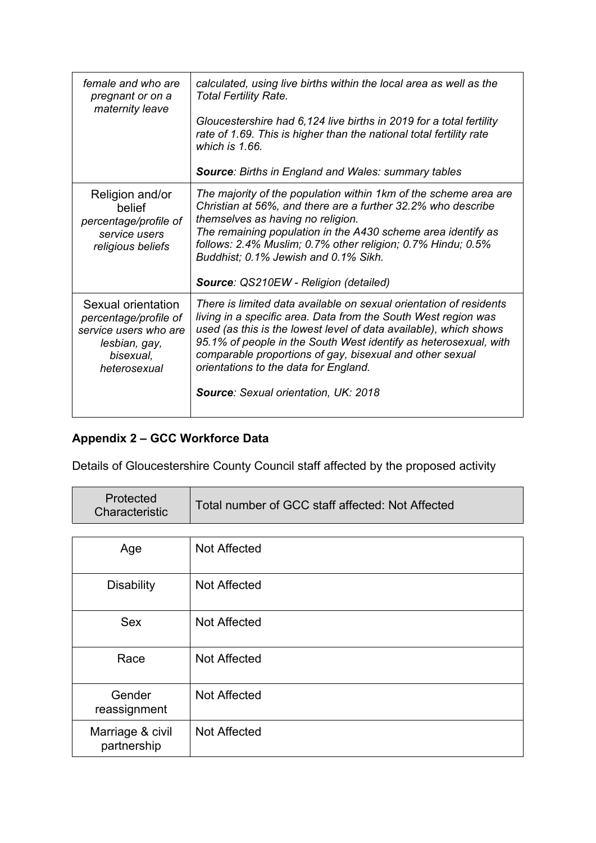| female and who are<br>pregnant or on a<br>maternity leave                                                          | calculated, using live births within the local area as well as the<br><b>Total Fertility Rate.</b><br>Gloucestershire had 6,124 live births in 2019 for a total fertility<br>rate of 1.69. This is higher than the national total fertility rate                                                                                                                                                                                  |
|--------------------------------------------------------------------------------------------------------------------|-----------------------------------------------------------------------------------------------------------------------------------------------------------------------------------------------------------------------------------------------------------------------------------------------------------------------------------------------------------------------------------------------------------------------------------|
|                                                                                                                    | which is 1.66.<br><b>Source: Births in England and Wales: summary tables</b>                                                                                                                                                                                                                                                                                                                                                      |
| Religion and/or                                                                                                    | The majority of the population within 1km of the scheme area are                                                                                                                                                                                                                                                                                                                                                                  |
| belief<br>percentage/profile of<br>service users<br>religious beliefs                                              | Christian at 56%, and there are a further 32.2% who describe<br>themselves as having no religion.<br>The remaining population in the A430 scheme area identify as<br>follows: 2.4% Muslim; 0.7% other religion; 0.7% Hindu; 0.5%<br>Buddhist; 0.1% Jewish and 0.1% Sikh.                                                                                                                                                          |
|                                                                                                                    | Source: QS210EW - Religion (detailed)                                                                                                                                                                                                                                                                                                                                                                                             |
| Sexual orientation<br>percentage/profile of<br>service users who are<br>lesbian, gay,<br>bisexual,<br>heterosexual | There is limited data available on sexual orientation of residents<br>living in a specific area. Data from the South West region was<br>used (as this is the lowest level of data available), which shows<br>95.1% of people in the South West identify as heterosexual, with<br>comparable proportions of gay, bisexual and other sexual<br>orientations to the data for England.<br><b>Source: Sexual orientation, UK: 2018</b> |
|                                                                                                                    |                                                                                                                                                                                                                                                                                                                                                                                                                                   |

# **Appendix 2 – GCC Workforce Data**

Details of Gloucestershire County Council staff affected by the proposed activity

| Protected<br>Characteristic | Total number of GCC staff affected: Not Affected |
|-----------------------------|--------------------------------------------------|
|-----------------------------|--------------------------------------------------|

| Age                             | Not Affected |
|---------------------------------|--------------|
| <b>Disability</b>               | Not Affected |
| <b>Sex</b>                      | Not Affected |
| Race                            | Not Affected |
| Gender<br>reassignment          | Not Affected |
| Marriage & civil<br>partnership | Not Affected |